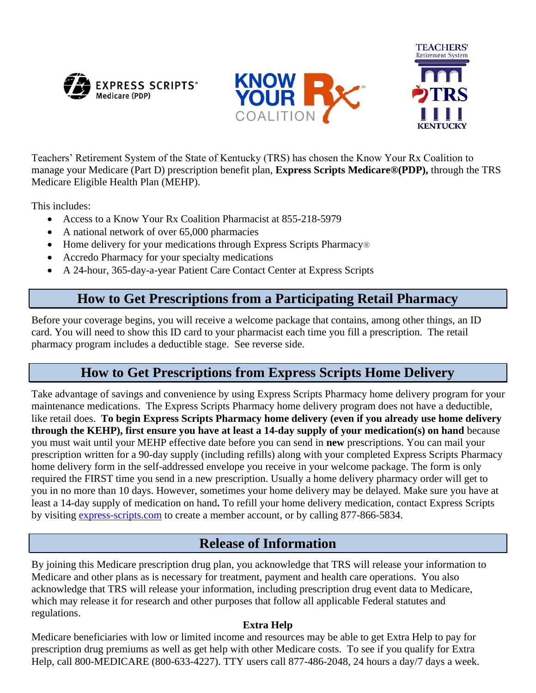





Teachers' Retirement System of the State of Kentucky (TRS) has chosen the Know Your Rx Coalition to manage your Medicare (Part D) prescription benefit plan, **Express Scripts Medicare®(PDP),** through the TRS Medicare Eligible Health Plan (MEHP).

This includes:

- Access to a Know Your Rx Coalition Pharmacist at 855-218-5979
- A national network of over 65,000 pharmacies
- Home delivery for your medications through Express Scripts Pharmacy<sup>®</sup>
- Accredo Pharmacy for your specialty medications
- A 24-hour, 365-day-a-year Patient Care Contact Center at Express Scripts

## **How to Get Prescriptions from a Participating Retail Pharmacy**

Before your coverage begins, you will receive a welcome package that contains, among other things, an ID card. You will need to show this ID card to your pharmacist each time you fill a prescription. The retail pharmacy program includes a deductible stage. See reverse side.

## **How to Get Prescriptions from Express Scripts Home Delivery**

Take advantage of savings and convenience by using Express Scripts Pharmacy home delivery program for your maintenance medications. The Express Scripts Pharmacy home delivery program does not have a deductible, like retail does. **To begin Express Scripts Pharmacy home delivery (even if you already use home delivery through the KEHP), first ensure you have at least a 14-day supply of your medication(s) on hand** because you must wait until your MEHP effective date before you can send in **new** prescriptions. You can mail your prescription written for a 90-day supply (including refills) along with your completed Express Scripts Pharmacy home delivery form in the self-addressed envelope you receive in your welcome package. The form is only required the FIRST time you send in a new prescription. Usually a home delivery pharmacy order will get to you in no more than 10 days. However, sometimes your home delivery may be delayed. Make sure you have at least a 14-day supply of medication on hand**.** To refill your home delivery medication, contact Express Scripts by visiting [express-scripts.com](http://www.express-scripts.com/) to create a member account, or by calling 877-866-5834.

## **Release of Information**

By joining this Medicare prescription drug plan, you acknowledge that TRS will release your information to Medicare and other plans as is necessary for treatment, payment and health care operations. You also acknowledge that TRS will release your information, including prescription drug event data to Medicare, which may release it for research and other purposes that follow all applicable Federal statutes and regulations.

## **Extra Help**

Medicare beneficiaries with low or limited income and resources may be able to get Extra Help to pay for prescription drug premiums as well as get help with other Medicare costs. To see if you qualify for Extra Help, call 800-MEDICARE (800-633-4227). TTY users call 877-486-2048, 24 hours a day/7 days a week.